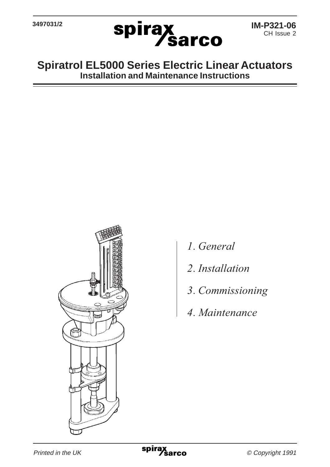

## **Spiratrol EL5000 Series Electric Linear Actuators Installation and Maintenance Instructions**



- *1. General*
- *2. Installation*
- *3. Commissioning*
- *4. Maintenance*

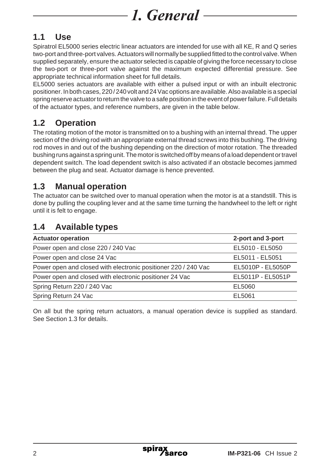# **1.1 Use**

Spiratrol EL5000 series electric linear actuators are intended for use with all KE, R and Q series two-port and three-port valves. Actuators will normally be supplied fitted to the control valve. When supplied separately, ensure the actuator selected is capable of giving the force necessary to close the two-port or three-port valve against the maximum expected differential pressure. See appropriate technical information sheet for full details.

EL5000 series actuators are available with either a pulsed input or with an inbuilt electronic positioner. In both cases, 220 / 240 volt and 24 Vac options are available. Also available is a special spring reserve actuator to return the valve to a safe position in the event of power failure. Full details of the actuator types, and reference numbers, are given in the table below.

# **1.2 Operation**

The rotating motion of the motor is transmitted on to a bushing with an internal thread. The upper section of the driving rod with an appropriate external thread screws into this bushing. The driving rod moves in and out of the bushing depending on the direction of motor rotation. The threaded bushing runs against a spring unit. The motor is switched off by means of a load dependent or travel dependent switch. The load dependent switch is also activated if an obstacle becomes jammed between the plug and seat. Actuator damage is hence prevented.

## **1.3 Manual operation**

The actuator can be switched over to manual operation when the motor is at a standstill. This is done by pulling the coupling lever and at the same time turning the handwheel to the left or right until it is felt to engage.

## **1.4 Available types**

| <b>Actuator operation</b>                                      | 2-port and 3-port |
|----------------------------------------------------------------|-------------------|
| Power open and close 220 / 240 Vac                             | EL5010 - EL5050   |
| Power open and close 24 Vac                                    | EL5011 - EL5051   |
| Power open and closed with electronic positioner 220 / 240 Vac | EL5010P - EL5050P |
| Power open and closed with electronic positioner 24 Vac        | EL5011P - EL5051P |
| Spring Return 220 / 240 Vac                                    | EL5060            |
| Spring Return 24 Vac                                           | EL5061            |

On all but the spring return actuators, a manual operation device is supplied as standard. See Section 1.3 for details.

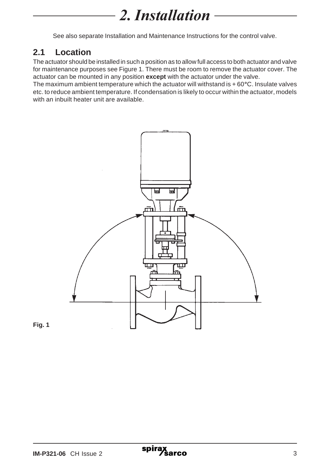# *2. Installation*

See also separate Installation and Maintenance Instructions for the control valve.

## **2.1 Location**

The actuator should be installed in such a position as to allow full access to both actuator and valve for maintenance purposes see Figure 1. There must be room to remove the actuator cover. The actuator can be mounted in any position **except** with the actuator under the valve.

The maximum ambient temperature which the actuator will withstand is + 60**°**C. Insulate valves etc. to reduce ambient temperature. If condensation is likely to occur within the actuator, models with an inbuilt heater unit are available.



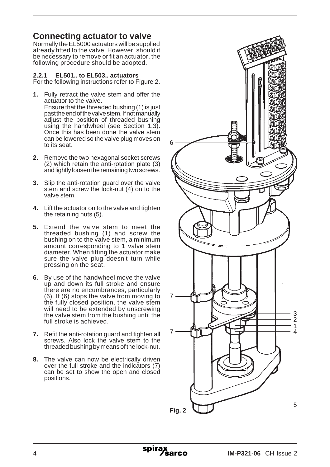## **Connecting actuator to valve**

Normally the EL5000 actuators will be supplied already fitted to the valve. However, should it be necessary to remove or fit an actuator, the following procedure should be adopted.

#### **2.2.1 EL501.. to EL503.. actuators**

For the following instructions refer to Figure 2.

- **1.** Fully retract the valve stem and offer the actuator to the valve. Ensure that the threaded bushing (1) is just past the end of the valve stem. If not manually adjust the position of threaded bushing using the handwheel (see Section 1.3). Once this has been done the valve stem can be lowered so the valve plug moves on to its seat.
- **2.** Remove the two hexagonal socket screws (2) which retain the anti-rotation plate (3) and lightly loosen the remaining two screws.
- **3.** Slip the anti-rotation guard over the valve stem and screw the lock-nut (4) on to the valve stem.
- **4.** Lift the actuator on to the valve and tighten the retaining nuts (5).
- **5.** Extend the valve stem to meet the threaded bushing (1) and screw the bushing on to the valve stem, a minimum amount corresponding to 1 valve stem diameter. When fitting the actuator make sure the valve plug doesn't turn while pressing on the seat.
- **6.** By use of the handwheel move the valve up and down its full stroke and ensure there are no encumbrances, particularly (6). If (6) stops the valve from moving to the fully closed position, the valve stem will need to be extended by unscrewing the valve stem from the bushing until the full stroke is achieved.
- **7.** Refit the anti-rotation guard and tighten all screws. Also lock the valve stem to the threaded bushing by means of the lock-nut.
- **8.** The valve can now be electrically driven over the full stroke and the indicators (7) can be set to show the open and closed positions.

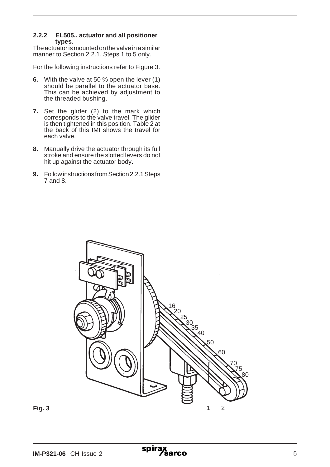#### **2.2.2 EL505.. actuator and all positioner types.**

The actuator is mounted on the valve in a similar manner to Section 2.2.1. Steps 1 to 5 only.

For the following instructions refer to Figure 3.

- **6.** With the valve at 50 % open the lever (1) should be parallel to the actuator base. This can be achieved by adjustment to the threaded bushing.
- **7.** Set the glider (2) to the mark which corresponds to the valve travel. The glider is then tightened in this position. Table 2 at the back of this IMI shows the travel for each valve.
- **8.** Manually drive the actuator through its full stroke and ensure the slotted levers do not hit up against the actuator body.
- **9.** Follow instructions from Section 2.2.1 Steps 7 and 8.



spira

**Fig. 3**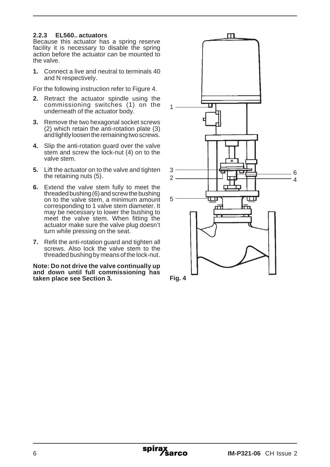#### **2.2.3 EL560.. actuators**

**Because this actuator has a spring reserve** facility it is necessary to disable the spring action before the actuator can be mounted to the valve.

**1.** Connect a live and neutral to terminals 40 and N respectively.

For the following instruction refer to Figure 4.

- **2.** Retract the actuator spindle using the commissioning switches (1) on the underneath of the actuator body.
- **3.** Remove the two hexagonal socket screws (2) which retain the anti-rotation plate (3) and lightly loosen the remaining two screws.
- **4.** Slip the anti-rotation guard over the valve stem and screw the lock-nut (4) on to the valve stem.
- **5.** Lift the actuator on to the valve and tighten the retaining nuts (5).
- **6.** Extend the valve stem fully to meet the threaded bushing (6) and screw the bushing on to the valve stem, a minimum amount corresponding to 1 valve stem diameter. It may be necessary to lower the bushing to meet the valve stem. When fitting the actuator make sure the valve plug doesn't turn while pressing on the seat.
- **7.** Refit the anti-rotation guard and tighten all screws. Also lock the valve stem to the threaded bushing by means of the lock-nut.

**Note: Do not drive the valve continually up and down until full commissioning has taken place see Section 3.**

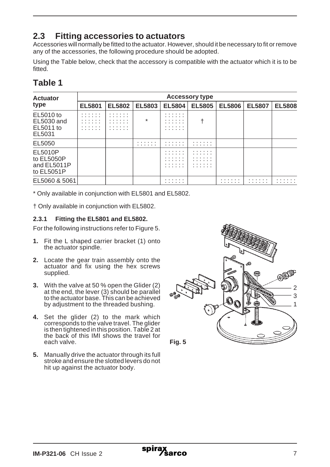## **2.3 Fitting accessories to actuators**

Accessories will normally be fitted to the actuator. However, should it be necessary to fit or remove any of the accessories, the following procedure should be adopted.

Using the Table below, check that the accessory is compatible with the actuator which it is to be fitted<sup>T</sup>

| <b>Actuator</b><br>type                            | <b>Accessory type</b> |                            |               |                       |               |               |               |               |
|----------------------------------------------------|-----------------------|----------------------------|---------------|-----------------------|---------------|---------------|---------------|---------------|
|                                                    | <b>EL5801</b>         | <b>EL5802</b>              | <b>EL5803</b> | <b>EL5804</b>         | <b>EL5805</b> | <b>EL5806</b> | <b>EL5807</b> | <b>EL5808</b> |
| EL5010 to<br>EL5030 and<br>EL5011 to<br>EL5031     | .<br>.<br>.<br>.<br>. | .<br>.<br>.<br>.<br>.<br>. | $\star$       | .<br>.<br>.<br>.<br>. |               |               |               |               |
| EL5050                                             |                       |                            | .<br>.        | .<br>.                | .<br>.        |               |               |               |
| EL5010P<br>to EL5050P<br>and EL5011P<br>to EL5051P |                       |                            |               | .                     | .<br>.        |               |               |               |
| EL5060 & 5061                                      |                       |                            |               | .<br>.                |               | .<br>.        | .<br>.        | .             |

## **Table 1**

\* Only available in conjunction with EL5801 and EL5802.

† Only available in conjunction with EL5802.

#### **2.3.1 Fitting the EL5801 and EL5802.**

For the following instructions refer to Figure 5.

- **1.** Fit the L shaped carrier bracket (1) onto the actuator spindle.
- **2.** Locate the gear train assembly onto the actuator and fix using the hex screws supplied.
- **3.** With the valve at 50 % open the Glider (2) at the end, the lever (3) should be parallel to the actuator base. This can be achieved by adjustment to the threaded bushing.
- **4.** Set the glider (2) to the mark which corresponds to the valve travel. The glider is then tightened in this position. Table 2 at the back of this IMI shows the travel for each valve.
- **5.** Manually drive the actuator through its full stroke and ensure the slotted levers do not hit up against the actuator body.

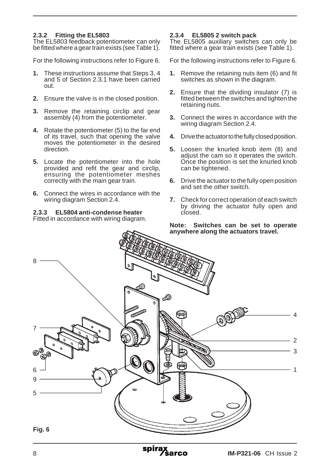#### **2.3.2 Fitting the EL5803**

The EL5803 feedback potentiometer can only be fitted where a gear train exists (see Table 1).

For the following instructions refer to Figure 6.

- **1.** These instructions assume that Steps 3, 4 and 5 of Section 2.3.1 have been carried out.
- **2.** Ensure the valve is in the closed position.
- **3.** Remove the retaining circlip and gear assembly (4) from the potentiometer.
- **4.** Rotate the potentiometer (5) to the far end of its travel, such that opening the valve moves the potentiometer in the desired direction.
- **5.** Locate the potentiometer into the hole provided and refit the gear and circlip, ensuring the potentiometer meshes correctly with the main gear train.
- **6.** Connect the wires in accordance with the wiring diagram Section 2.4.

## **2.3.3 EL5804 anti-condense heater**

#### Fitted in accordance with wiring diagram.

#### **2.3.4 EL5805 2 switch pack**

The EL5805 auxiliary switches can only be fitted where a gear train exists (see Table 1).

For the following instructions refer to Figure 6.

- **1.** Remove the retaining nuts item (6) and fit switches as shown in the diagram.
- **2.** Ensure that the dividing insulator (7) is fitted between the switches and tighten the retaining nuts.
- **3.** Connect the wires in accordance with the wiring diagram Section 2.4.
- **4.** Drive the actuator to the fully closed position.
- **5.** Loosen the knurled knob item (8) and adjust the cam so it operates the switch. Once the position is set the knurled knob can be tightened.
- **6.** Drive the actuator to the fully open position and set the other switch.
- **7.** Check for correct operation of each switch by driving the actuator fully open and closed.

#### **Note: Switches can be set to operate anywhere along the actuators travel.**



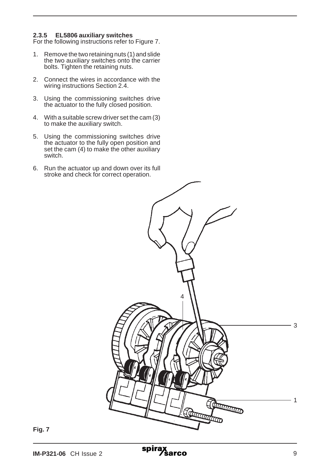#### **2.3.5 EL5806 auxiliary switches**

For the following instructions refer to Figure 7.

- 1. Remove the two retaining nuts (1) and slide the two auxiliary switches onto the carrier bolts. Tighten the retaining nuts.
- 2. Connect the wires in accordance with the wiring instructions Section 2.4.
- 3. Using the commissioning switches drive the actuator to the fully closed position.
- 4. With a suitable screw driver set the cam (3) to make the auxiliary switch.
- 5. Using the commissioning switches drive the actuator to the fully open position and set the cam (4) to make the other auxiliary switch.
- 6. Run the actuator up and down over its full stroke and check for correct operation.



**Fig. 7**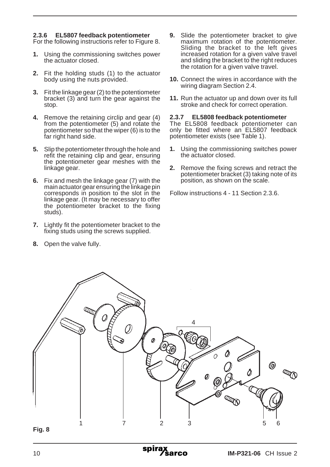#### **2.3.6 EL5807 feedback potentiometer**

For the following instructions refer to Figure 8.

- **1.** Using the commissioning switches power the actuator closed.
- **2.** Fit the holding studs (1) to the actuator body using the nuts provided.
- **3.** Fit the linkage gear (2) to the potentiometer bracket (3) and turn the gear against the stop.
- **4.** Remove the retaining circlip and gear (4) from the potentiometer (5) and rotate the potentiometer so that the wiper (6) is to the far right hand side.
- **5.** Slip the potentiometer through the hole and refit the retaining clip and gear, ensuring the potentiometer gear meshes with the linkage gear.
- **6.** Fix and mesh the linkage gear (7) with the main actuator gear ensuring the linkage pin corresponds in position to the slot in the linkage gear. (It may be necessary to offer the potentiometer bracket to the fixing studs).
- **7.** Lightly fit the potentiometer bracket to the fixing studs using the screws supplied.
- **8.** Open the valve fully.
- **9.** Slide the potentiometer bracket to give maximum rotation of the potentiometer. Sliding the bracket to the left gives increased rotation for a given valve travel and sliding the bracket to the right reduces the rotation for a given valve travel.
- **10.** Connect the wires in accordance with the wiring diagram Section 2.4.
- **11.** Run the actuator up and down over its full stroke and check for correct operation.

#### **2.3.7 EL5808 feedback potentiometer**

The EL5808 feedback potentiometer can only be fitted where an EL5807 feedback potentiometer exists (see Table 1).

- **1.** Using the commissioning switches power the actuator closed.
- **2.** Remove the fixing screws and retract the potentiometer bracket (3) taking note of its position, as shown on the scale.

Follow instructions 4 - 11 Section 2.3.6.



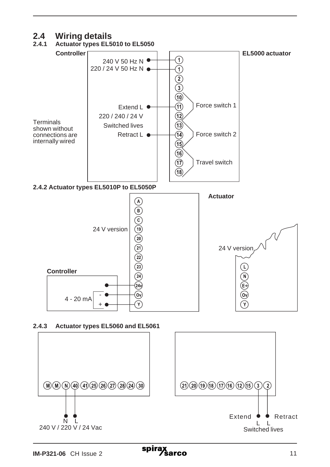# **2.4 Wiring details**

## **2.4.1 Actuator types EL5010 to EL5050**



#### **2.4.3 Actuator types EL5060 and EL5061**



spira: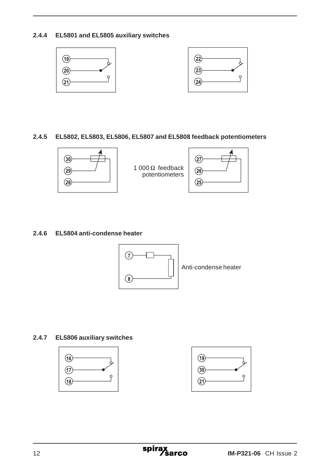**2.4.4 EL5801 and EL5805 auxiliary switches**



#### **2.4.5 EL5802, EL5803, EL5806, EL5807 and EL5808 feedback potentiometers**



1 000  $\Omega$  feedback potentiometers



#### **2.4.6 EL5804 anti-condense heater**



### **2.4.7 EL5806 auxiliary switches**



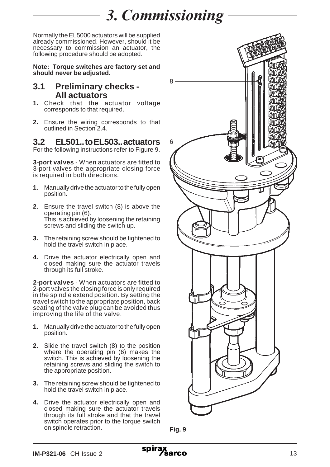# *3. Commissioning*

Normally the EL5000 actuators will be supplied already commissioned. However, should it be necessary to commission an actuator, the following procedure should be adopted.

**Note: Torque switches are factory set and should never be adjusted.**

### **3.1 Preliminary checks - All actuators**

- **1.** Check that the actuator voltage corresponds to that required.
- **2.** Ensure the wiring corresponds to that outlined in Section 2.4.

## **3.2 EL501.. to EL503.. actuators**

For the following instructions refer to Figure 9.

**3-port valves** - When actuators are fitted to 3-port valves the appropriate closing force is required in both directions.

- **1.** Manually drive the actuator to the fully open position.
- **2.** Ensure the travel switch (8) is above the operating pin (6). This is achieved by loosening the retaining screws and sliding the switch up.
- **3.** The retaining screw should be tightened to hold the travel switch in place.
- **4.** Drive the actuator electrically open and closed making sure the actuator travels through its full stroke.

**2-port valves** - When actuators are fitted to 2-port valves the closing force is only required in the spindle extend position. By setting the travel switch to the appropriate position, back seating of the valve plug can be avoided thus improving the life of the valve.

- **1.** Manually drive the actuator to the fully open position.
- **2.** Slide the travel switch (8) to the position where the operating pin (6) makes the switch. This is achieved by loosening the retaining screws and sliding the switch to the appropriate position.
- **3.** The retaining screw should be tightened to hold the travel switch in place.
- **4.** Drive the actuator electrically open and closed making sure the actuator travels through its full stroke and that the travel switch operates prior to the torque switch on spindle retraction.



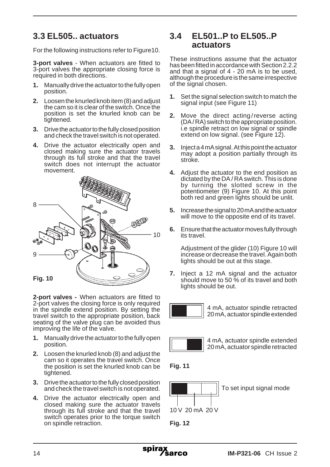## **3.3 EL505.. actuators**

For the following instructions refer to Figure10.

**3-port valves** - When actuators are fitted to 3-port valves the appropriate closing force is required in both directions.

- **1.** Manually drive the actuator to the fully open position.
- **2.** Loosen the knurled knob item (8) and adjust the cam so it is clear of the switch. Once the position is set the knurled knob can be tightened.
- **3.** Drive the actuator to the fully closed position and check the travel switch is not operated.
- **4.** Drive the actuator electrically open and closed making sure the actuator travels through its full stroke and that the travel switch does not interrupt the actuator movement.



**2-port valves -** When actuators are fitted to 2-port valves the closing force is only required in the spindle extend position. By setting the travel switch to the appropriate position, back seating of the valve plug can be avoided thus improving the life of the valve.

- **1.** Manually drive the actuator to the fully open position.
- **2.** Loosen the knurled knob (8) and adjust the cam so it operates the travel switch. Once the position is set the knurled knob can be tightened.
- **3.** Drive the actuator to the fully closed position and check the travel switch is not operated.
- **4.** Drive the actuator electrically open and closed making sure the actuator travels through its full stroke and that the travel switch operates prior to the torque switch on spindle retraction.

## **3.4 EL501..P to EL505..P actuators**

These instructions assume that the actuator has been fitted in accordance with Section 2.2.2 and that a signal of 4 - 20 mA is to be used, although the procedure is the same irrespective of the signal chosen.

- **1.** Set the signal selection switch to match the signal input (see Figure 11)
- **2.** Move the direct acting/reverse acting (DA / RA) switch to the appropriate position. i.e spindle retract on low signal or spindle extend on low signal. (see Figure 12).
- **3.** Inject a 4 mA signal. At this point the actuator may adopt a position partially through its stroke.
- **4.** Adjust the actuator to the end position as dictated by the DA / RA switch. This is done by turning the slotted screw in the potentiometer (9) Figure 10. At this point both red and green lights should be unlit.
- **5.** Increase the signal to 20 mA and the actuator will move to the opposite end of its travel.
- **6.** Ensure that the actuator moves fully through its travel.

Adjustment of the glider (10) Figure 10 will increase or decrease the travel. Again both lights should be out at this stage.

**7.** Inject a 12 mA signal and the actuator should move to 50 % of its travel and both lights should be out.



4 mA, actuator spindle retracted 20 mA, actuator spindle extended



4 mA, actuator spindle extended 20 mA, actuator spindle retracted





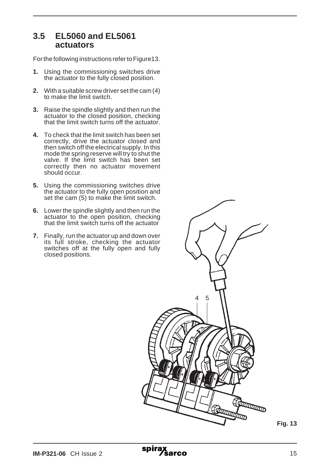### **3.5 EL5060 and EL5061 actuators**

For the following instructions refer to Figure13.

- **1.** Using the commissioning switches drive the actuator to the fully closed position.
- **2.** With a suitable screw driver set the cam (4) to make the limit switch.
- **3.** Raise the spindle slightly and then run the actuator to the closed position, checking that the limit switch turns off the actuator.
- **4.** To check that the limit switch has been set correctly, drive the actuator closed and then switch off the electrical supply. In this mode the spring reserve will try to shut the valve. If the limit switch has been set correctly then no actuator movement should occur.
- **5.** Using the commissioning switches drive the actuator to the fully open position and set the cam (5) to make the limit switch.
- **6.** Lower the spindle slightly and then run the actuator to the open position, checking that the limit switch turns off the actuator
- **7.** Finally, run the actuator up and down over its full stroke, checking the actuator switches off at the fully open and fully closed positions.